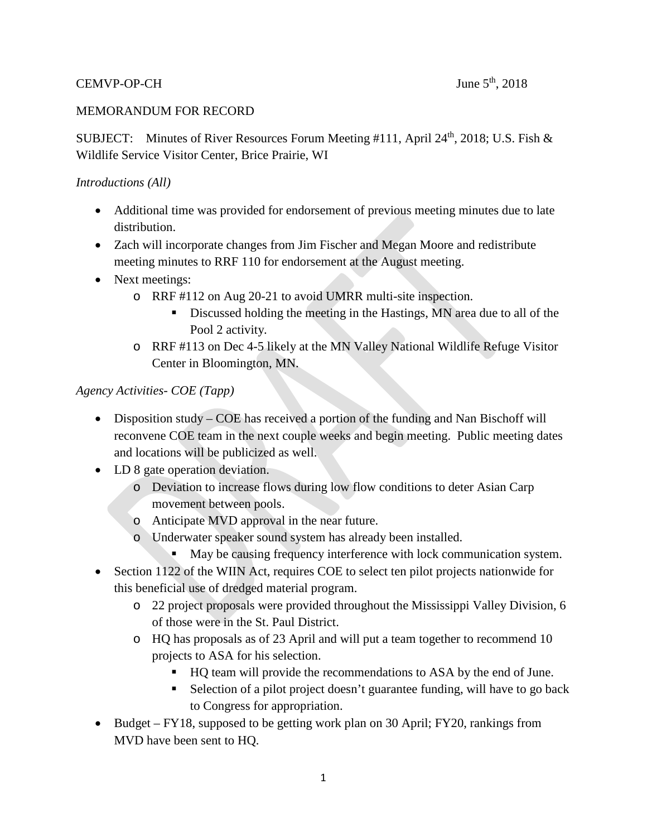## CEMVP-OP-CH June  $5<sup>th</sup>$ , 2018

#### MEMORANDUM FOR RECORD

SUBJECT: Minutes of River Resources Forum Meeting #111, April 24<sup>th</sup>, 2018; U.S. Fish & Wildlife Service Visitor Center, Brice Prairie, WI

#### *Introductions (All)*

- Additional time was provided for endorsement of previous meeting minutes due to late distribution.
- Zach will incorporate changes from Jim Fischer and Megan Moore and redistribute meeting minutes to RRF 110 for endorsement at the August meeting.
- Next meetings:
	- o RRF #112 on Aug 20-21 to avoid UMRR multi-site inspection.
		- Discussed holding the meeting in the Hastings, MN area due to all of the Pool 2 activity.
	- o RRF #113 on Dec 4-5 likely at the MN Valley National Wildlife Refuge Visitor Center in Bloomington, MN.

#### *Agency Activities- COE (Tapp)*

- Disposition study COE has received a portion of the funding and Nan Bischoff will reconvene COE team in the next couple weeks and begin meeting. Public meeting dates and locations will be publicized as well.
- LD 8 gate operation deviation.
	- o Deviation to increase flows during low flow conditions to deter Asian Carp movement between pools.
	- o Anticipate MVD approval in the near future.
	- o Underwater speaker sound system has already been installed.
		- May be causing frequency interference with lock communication system.
- Section 1122 of the WIIN Act, requires COE to select ten pilot projects nationwide for this beneficial use of dredged material program.
	- o 22 project proposals were provided throughout the Mississippi Valley Division, 6 of those were in the St. Paul District.
	- o HQ has proposals as of 23 April and will put a team together to recommend 10 projects to ASA for his selection.
		- HQ team will provide the recommendations to ASA by the end of June.
		- Selection of a pilot project doesn't guarantee funding, will have to go back to Congress for appropriation.
- Budget FY18, supposed to be getting work plan on 30 April; FY20, rankings from MVD have been sent to HQ.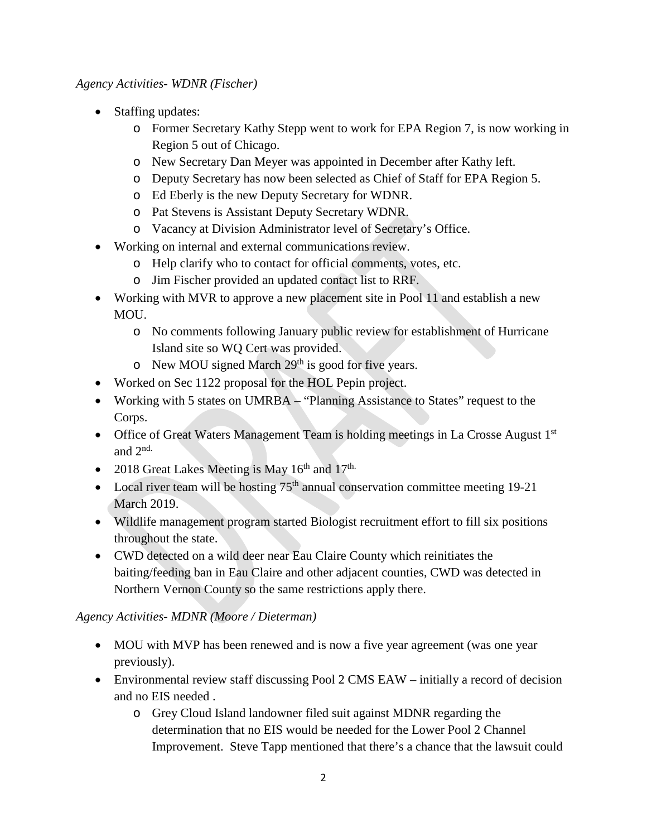*Agency Activities- WDNR (Fischer)*

- Staffing updates:
	- o Former Secretary Kathy Stepp went to work for EPA Region 7, is now working in Region 5 out of Chicago.
	- o New Secretary Dan Meyer was appointed in December after Kathy left.
	- o Deputy Secretary has now been selected as Chief of Staff for EPA Region 5.
	- o Ed Eberly is the new Deputy Secretary for WDNR.
	- o Pat Stevens is Assistant Deputy Secretary WDNR.
	- o Vacancy at Division Administrator level of Secretary's Office.
- Working on internal and external communications review.
	- o Help clarify who to contact for official comments, votes, etc.
	- o Jim Fischer provided an updated contact list to RRF.
- Working with MVR to approve a new placement site in Pool 11 and establish a new MOU.
	- o No comments following January public review for establishment of Hurricane Island site so WQ Cert was provided.
	- $\circ$  New MOU signed March 29<sup>th</sup> is good for five years.
- Worked on Sec 1122 proposal for the HOL Pepin project.
- Working with 5 states on UMRBA "Planning Assistance to States" request to the Corps.
- Office of Great Waters Management Team is holding meetings in La Crosse August 1<sup>st</sup> and 2nd.
- 2018 Great Lakes Meeting is May  $16^{th}$  and  $17^{th}$ .
- Local river team will be hosting  $75<sup>th</sup>$  annual conservation committee meeting 19-21 March 2019.
- Wildlife management program started Biologist recruitment effort to fill six positions throughout the state.
- CWD detected on a wild deer near Eau Claire County which reinitiates the baiting/feeding ban in Eau Claire and other adjacent counties, CWD was detected in Northern Vernon County so the same restrictions apply there.

## *Agency Activities- MDNR (Moore / Dieterman)*

- MOU with MVP has been renewed and is now a five year agreement (was one year previously).
- Environmental review staff discussing Pool 2 CMS EAW initially a record of decision and no EIS needed .
	- o Grey Cloud Island landowner filed suit against MDNR regarding the determination that no EIS would be needed for the Lower Pool 2 Channel Improvement. Steve Tapp mentioned that there's a chance that the lawsuit could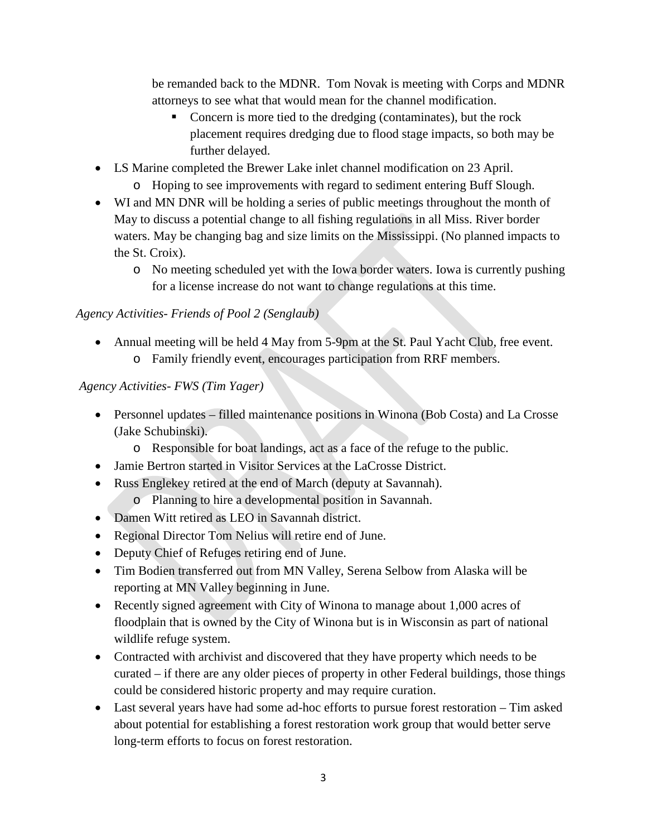be remanded back to the MDNR. Tom Novak is meeting with Corps and MDNR attorneys to see what that would mean for the channel modification.

- Concern is more tied to the dredging (contaminates), but the rock placement requires dredging due to flood stage impacts, so both may be further delayed.
- LS Marine completed the Brewer Lake inlet channel modification on 23 April.
	- o Hoping to see improvements with regard to sediment entering Buff Slough.
- WI and MN DNR will be holding a series of public meetings throughout the month of May to discuss a potential change to all fishing regulations in all Miss. River border waters. May be changing bag and size limits on the Mississippi. (No planned impacts to the St. Croix).
	- o No meeting scheduled yet with the Iowa border waters. Iowa is currently pushing for a license increase do not want to change regulations at this time.

## *Agency Activities- Friends of Pool 2 (Senglaub)*

• Annual meeting will be held 4 May from 5-9pm at the St. Paul Yacht Club, free event. o Family friendly event, encourages participation from RRF members.

## *Agency Activities- FWS (Tim Yager)*

- Personnel updates filled maintenance positions in Winona (Bob Costa) and La Crosse (Jake Schubinski).
	- o Responsible for boat landings, act as a face of the refuge to the public.
- Jamie Bertron started in Visitor Services at the LaCrosse District.
- Russ Englekey retired at the end of March (deputy at Savannah).
	- o Planning to hire a developmental position in Savannah.
- Damen Witt retired as LEO in Savannah district.
- Regional Director Tom Nelius will retire end of June.
- Deputy Chief of Refuges retiring end of June.
- Tim Bodien transferred out from MN Valley, Serena Selbow from Alaska will be reporting at MN Valley beginning in June.
- Recently signed agreement with City of Winona to manage about 1,000 acres of floodplain that is owned by the City of Winona but is in Wisconsin as part of national wildlife refuge system.
- Contracted with archivist and discovered that they have property which needs to be curated – if there are any older pieces of property in other Federal buildings, those things could be considered historic property and may require curation.
- Last several years have had some ad-hoc efforts to pursue forest restoration Tim asked about potential for establishing a forest restoration work group that would better serve long-term efforts to focus on forest restoration.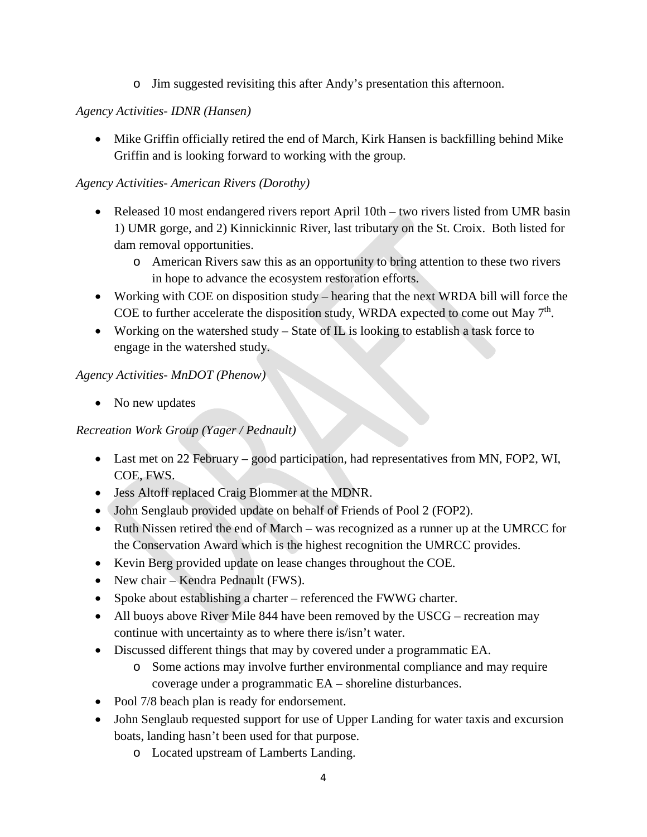o Jim suggested revisiting this after Andy's presentation this afternoon.

## *Agency Activities- IDNR (Hansen)*

• Mike Griffin officially retired the end of March, Kirk Hansen is backfilling behind Mike Griffin and is looking forward to working with the group*.*

## *Agency Activities- American Rivers (Dorothy)*

- Released 10 most endangered rivers report April 10th two rivers listed from UMR basin 1) UMR gorge, and 2) Kinnickinnic River, last tributary on the St. Croix. Both listed for dam removal opportunities.
	- o American Rivers saw this as an opportunity to bring attention to these two rivers in hope to advance the ecosystem restoration efforts.
- Working with COE on disposition study hearing that the next WRDA bill will force the COE to further accelerate the disposition study, WRDA expected to come out May  $7<sup>th</sup>$ .
- Working on the watershed study State of  $IL$  is looking to establish a task force to engage in the watershed study.

### *Agency Activities- MnDOT (Phenow)*

• No new updates

## *Recreation Work Group (Yager / Pednault)*

- Last met on 22 February good participation, had representatives from MN, FOP2, WI, COE, FWS.
- Jess Altoff replaced Craig Blommer at the MDNR.
- John Senglaub provided update on behalf of Friends of Pool 2 (FOP2).
- Ruth Nissen retired the end of March was recognized as a runner up at the UMRCC for the Conservation Award which is the highest recognition the UMRCC provides.
- Kevin Berg provided update on lease changes throughout the COE.
- New chair Kendra Pednault (FWS).
- Spoke about establishing a charter referenced the FWWG charter.
- All buoys above River Mile 844 have been removed by the USCG recreation may continue with uncertainty as to where there is/isn't water.
- Discussed different things that may by covered under a programmatic EA.
	- o Some actions may involve further environmental compliance and may require coverage under a programmatic EA – shoreline disturbances.
- Pool 7/8 beach plan is ready for endorsement.
- John Senglaub requested support for use of Upper Landing for water taxis and excursion boats, landing hasn't been used for that purpose.
	- o Located upstream of Lamberts Landing.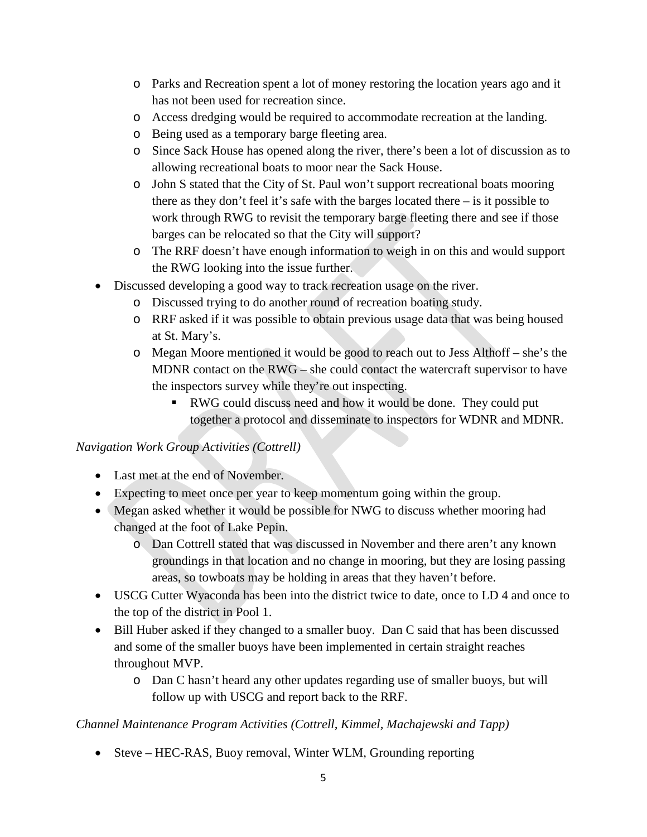- o Parks and Recreation spent a lot of money restoring the location years ago and it has not been used for recreation since.
- o Access dredging would be required to accommodate recreation at the landing.
- o Being used as a temporary barge fleeting area.
- o Since Sack House has opened along the river, there's been a lot of discussion as to allowing recreational boats to moor near the Sack House.
- o John S stated that the City of St. Paul won't support recreational boats mooring there as they don't feel it's safe with the barges located there  $-$  is it possible to work through RWG to revisit the temporary barge fleeting there and see if those barges can be relocated so that the City will support?
- o The RRF doesn't have enough information to weigh in on this and would support the RWG looking into the issue further.
- Discussed developing a good way to track recreation usage on the river.
	- o Discussed trying to do another round of recreation boating study.
	- o RRF asked if it was possible to obtain previous usage data that was being housed at St. Mary's.
	- o Megan Moore mentioned it would be good to reach out to Jess Althoff she's the MDNR contact on the RWG – she could contact the watercraft supervisor to have the inspectors survey while they're out inspecting.
		- RWG could discuss need and how it would be done. They could put together a protocol and disseminate to inspectors for WDNR and MDNR.

#### *Navigation Work Group Activities (Cottrell)*

- Last met at the end of November.
- Expecting to meet once per year to keep momentum going within the group.
- Megan asked whether it would be possible for NWG to discuss whether mooring had changed at the foot of Lake Pepin.
	- o Dan Cottrell stated that was discussed in November and there aren't any known groundings in that location and no change in mooring, but they are losing passing areas, so towboats may be holding in areas that they haven't before.
- USCG Cutter Wyaconda has been into the district twice to date, once to LD 4 and once to the top of the district in Pool 1.
- Bill Huber asked if they changed to a smaller buoy. Dan C said that has been discussed and some of the smaller buoys have been implemented in certain straight reaches throughout MVP.
	- o Dan C hasn't heard any other updates regarding use of smaller buoys, but will follow up with USCG and report back to the RRF.

#### *Channel Maintenance Program Activities (Cottrell, Kimmel, Machajewski and Tapp)*

• Steve – HEC-RAS, Buoy removal, Winter WLM, Grounding reporting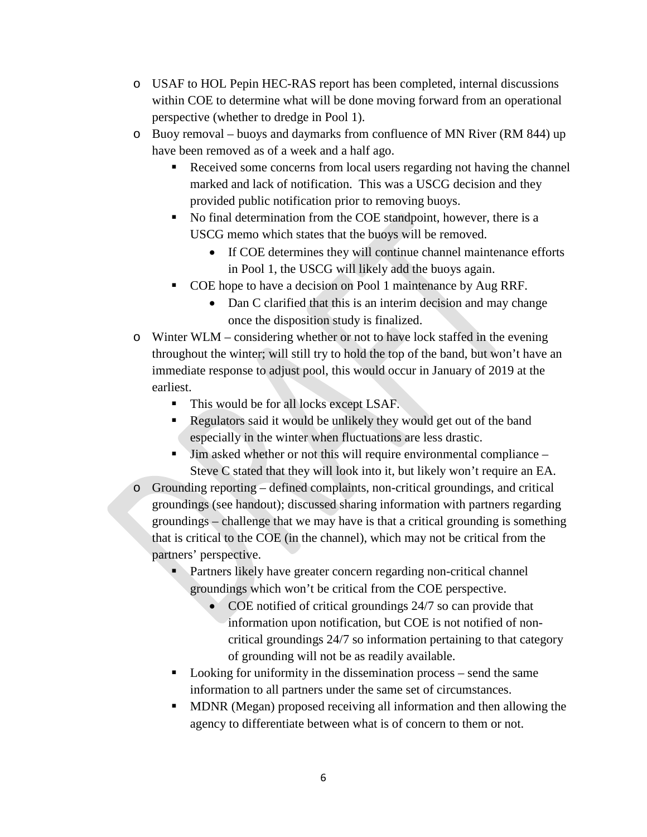- o USAF to HOL Pepin HEC-RAS report has been completed, internal discussions within COE to determine what will be done moving forward from an operational perspective (whether to dredge in Pool 1).
- o Buoy removal buoys and daymarks from confluence of MN River (RM 844) up have been removed as of a week and a half ago.
	- Received some concerns from local users regarding not having the channel marked and lack of notification. This was a USCG decision and they provided public notification prior to removing buoys.
	- No final determination from the COE standpoint, however, there is a USCG memo which states that the buoys will be removed.
		- If COE determines they will continue channel maintenance efforts in Pool 1, the USCG will likely add the buoys again.
	- COE hope to have a decision on Pool 1 maintenance by Aug RRF.
		- Dan C clarified that this is an interim decision and may change once the disposition study is finalized.
- o Winter WLM considering whether or not to have lock staffed in the evening throughout the winter; will still try to hold the top of the band, but won't have an immediate response to adjust pool, this would occur in January of 2019 at the earliest.
	- This would be for all locks except LSAF.
	- Regulators said it would be unlikely they would get out of the band especially in the winter when fluctuations are less drastic.
	- Jim asked whether or not this will require environmental compliance Steve C stated that they will look into it, but likely won't require an EA.
- o Grounding reporting defined complaints, non-critical groundings, and critical groundings (see handout); discussed sharing information with partners regarding groundings – challenge that we may have is that a critical grounding is something that is critical to the COE (in the channel), which may not be critical from the partners' perspective.
	- **Partners likely have greater concern regarding non-critical channel** groundings which won't be critical from the COE perspective.
		- COE notified of critical groundings 24/7 so can provide that information upon notification, but COE is not notified of noncritical groundings 24/7 so information pertaining to that category of grounding will not be as readily available.
	- Looking for uniformity in the dissemination process send the same information to all partners under the same set of circumstances.
	- **MDNR** (Megan) proposed receiving all information and then allowing the agency to differentiate between what is of concern to them or not.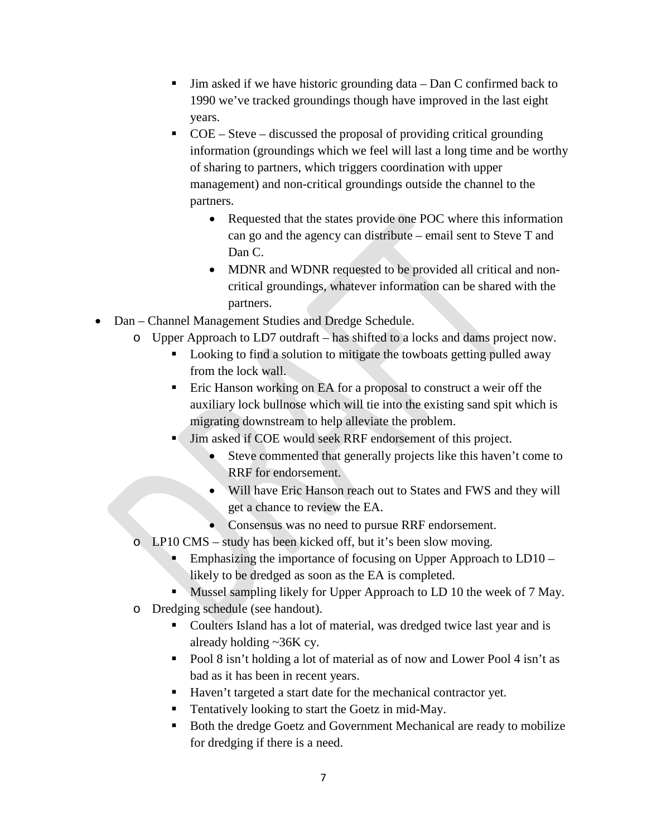- Jim asked if we have historic grounding data Dan C confirmed back to 1990 we've tracked groundings though have improved in the last eight years.
- $\overline{COE}$  Steve discussed the proposal of providing critical grounding information (groundings which we feel will last a long time and be worthy of sharing to partners, which triggers coordination with upper management) and non-critical groundings outside the channel to the partners.
	- Requested that the states provide one POC where this information can go and the agency can distribute – email sent to Steve T and Dan C.
	- MDNR and WDNR requested to be provided all critical and noncritical groundings, whatever information can be shared with the partners.
- Dan Channel Management Studies and Dredge Schedule.
	- o Upper Approach to LD7 outdraft has shifted to a locks and dams project now.
		- Looking to find a solution to mitigate the towboats getting pulled away from the lock wall.
		- Eric Hanson working on EA for a proposal to construct a weir off the auxiliary lock bullnose which will tie into the existing sand spit which is migrating downstream to help alleviate the problem.
		- Jim asked if COE would seek RRF endorsement of this project.
			- Steve commented that generally projects like this haven't come to RRF for endorsement.
			- Will have Eric Hanson reach out to States and FWS and they will get a chance to review the EA.
			- Consensus was no need to pursue RRF endorsement.
	- o LP10 CMS study has been kicked off, but it's been slow moving.
		- Emphasizing the importance of focusing on Upper Approach to LD10 likely to be dredged as soon as the EA is completed.
		- Mussel sampling likely for Upper Approach to LD 10 the week of 7 May.
	- o Dredging schedule (see handout).
		- Coulters Island has a lot of material, was dredged twice last year and is already holding  $\sim$ 36K cy.
		- Pool 8 isn't holding a lot of material as of now and Lower Pool 4 isn't as bad as it has been in recent years.
		- Haven't targeted a start date for the mechanical contractor yet.
		- Tentatively looking to start the Goetz in mid-May.
		- Both the dredge Goetz and Government Mechanical are ready to mobilize for dredging if there is a need.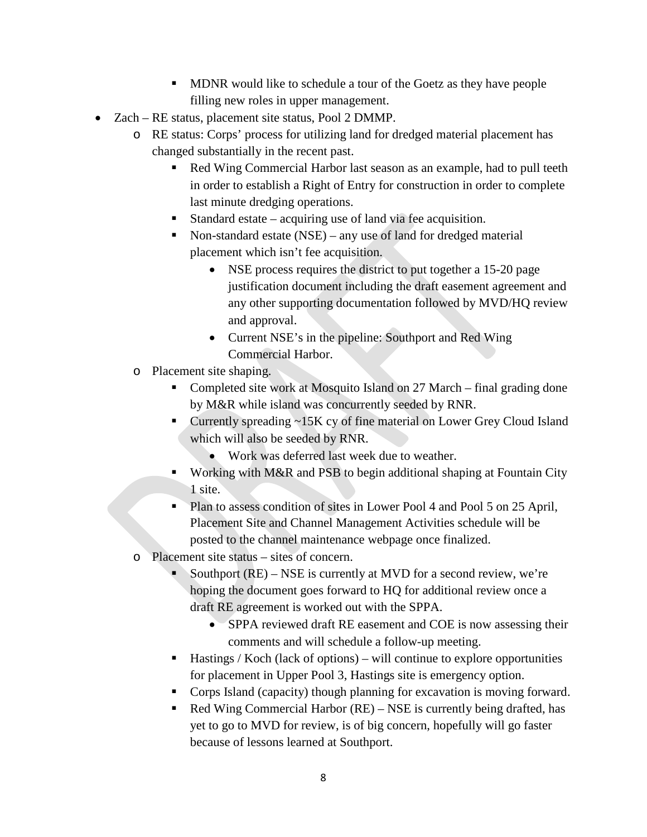- **MDNR** would like to schedule a tour of the Goetz as they have people filling new roles in upper management.
- Zach RE status, placement site status, Pool 2 DMMP.
	- o RE status: Corps' process for utilizing land for dredged material placement has changed substantially in the recent past.
		- Red Wing Commercial Harbor last season as an example, had to pull teeth in order to establish a Right of Entry for construction in order to complete last minute dredging operations.
		- Standard estate acquiring use of land via fee acquisition.
		- Non-standard estate (NSE) any use of land for dredged material placement which isn't fee acquisition.
			- NSE process requires the district to put together a 15-20 page justification document including the draft easement agreement and any other supporting documentation followed by MVD/HQ review and approval.
			- Current NSE's in the pipeline: Southport and Red Wing Commercial Harbor.
	- o Placement site shaping.
		- Completed site work at Mosquito Island on 27 March final grading done by M&R while island was concurrently seeded by RNR.
		- Currently spreading ~15K cy of fine material on Lower Grey Cloud Island which will also be seeded by RNR.
			- Work was deferred last week due to weather.
		- Working with M&R and PSB to begin additional shaping at Fountain City 1 site.
		- Plan to assess condition of sites in Lower Pool 4 and Pool 5 on 25 April, Placement Site and Channel Management Activities schedule will be posted to the channel maintenance webpage once finalized.
	- o Placement site status sites of concern.
		- Southport (RE) NSE is currently at MVD for a second review, we're hoping the document goes forward to HQ for additional review once a draft RE agreement is worked out with the SPPA.
			- SPPA reviewed draft RE easement and COE is now assessing their comments and will schedule a follow-up meeting.
		- $\blacksquare$  Hastings / Koch (lack of options) will continue to explore opportunities for placement in Upper Pool 3, Hastings site is emergency option.
		- Corps Island (capacity) though planning for excavation is moving forward.
		- Red Wing Commercial Harbor (RE) NSE is currently being drafted, has yet to go to MVD for review, is of big concern, hopefully will go faster because of lessons learned at Southport.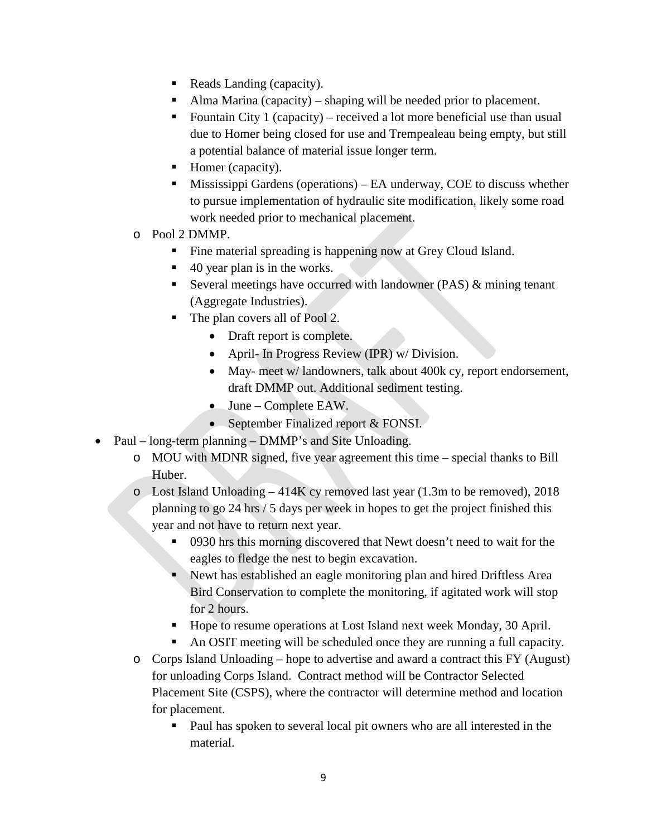- Reads Landing (capacity).
- Alma Marina (capacity) shaping will be needed prior to placement.
- Fountain City 1 (capacity) received a lot more beneficial use than usual due to Homer being closed for use and Trempealeau being empty, but still a potential balance of material issue longer term.
- Homer (capacity).
- Mississippi Gardens (operations) EA underway, COE to discuss whether to pursue implementation of hydraulic site modification, likely some road work needed prior to mechanical placement.
- o Pool 2 DMMP.
	- Fine material spreading is happening now at Grey Cloud Island.
	- $\blacksquare$  40 year plan is in the works.
	- Several meetings have occurred with landowner (PAS)  $&$  mining tenant (Aggregate Industries).
	- The plan covers all of Pool 2.
		- Draft report is complete.
		- April- In Progress Review (IPR) w/ Division.
		- May- meet w/ landowners, talk about 400k cy, report endorsement, draft DMMP out. Additional sediment testing.
		- June Complete EAW.
		- September Finalized report & FONSI.
- Paul long-term planning DMMP's and Site Unloading.
	- o MOU with MDNR signed, five year agreement this time special thanks to Bill Huber.
	- o Lost Island Unloading 414K cy removed last year (1.3m to be removed), 2018 planning to go 24 hrs / 5 days per week in hopes to get the project finished this year and not have to return next year.
		- 0930 hrs this morning discovered that Newt doesn't need to wait for the eagles to fledge the nest to begin excavation.
		- Newt has established an eagle monitoring plan and hired Driftless Area Bird Conservation to complete the monitoring, if agitated work will stop for 2 hours.
		- Hope to resume operations at Lost Island next week Monday, 30 April.
		- An OSIT meeting will be scheduled once they are running a full capacity.
	- o Corps Island Unloading hope to advertise and award a contract this FY (August) for unloading Corps Island. Contract method will be Contractor Selected Placement Site (CSPS), where the contractor will determine method and location for placement.
		- Paul has spoken to several local pit owners who are all interested in the material.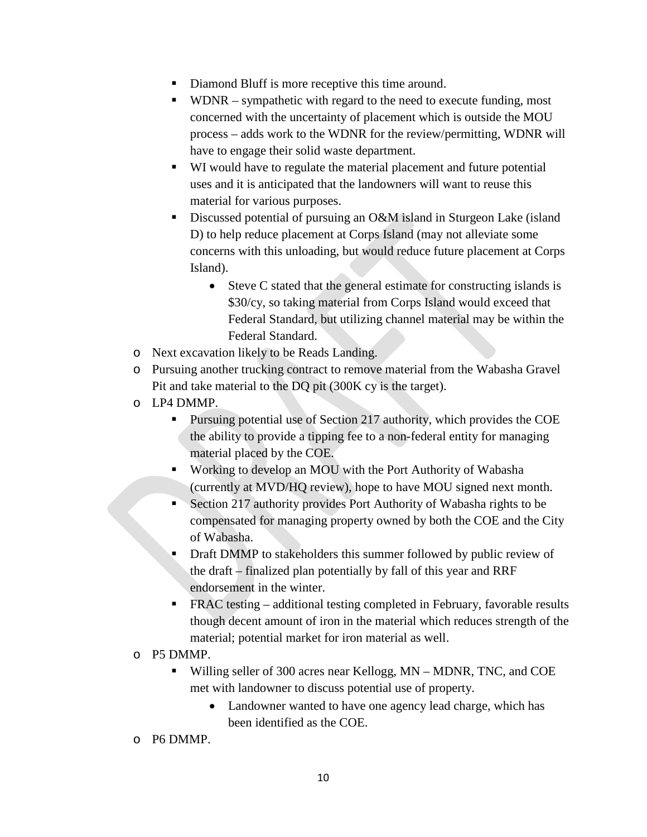- Diamond Bluff is more receptive this time around.
- $\blacksquare$  WDNR sympathetic with regard to the need to execute funding, most concerned with the uncertainty of placement which is outside the MOU process – adds work to the WDNR for the review/permitting, WDNR will have to engage their solid waste department.
- WI would have to regulate the material placement and future potential uses and it is anticipated that the landowners will want to reuse this material for various purposes.
- Discussed potential of pursuing an O&M island in Sturgeon Lake (island D) to help reduce placement at Corps Island (may not alleviate some concerns with this unloading, but would reduce future placement at Corps Island).
	- Steve C stated that the general estimate for constructing islands is \$30/cy, so taking material from Corps Island would exceed that Federal Standard, but utilizing channel material may be within the Federal Standard.
- o Next excavation likely to be Reads Landing.
- o Pursuing another trucking contract to remove material from the Wabasha Gravel Pit and take material to the DQ pit (300K cy is the target).
- o LP4 DMMP.
	- **Pursuing potential use of Section 217 authority, which provides the COE** the ability to provide a tipping fee to a non-federal entity for managing material placed by the COE.
	- Working to develop an MOU with the Port Authority of Wabasha (currently at MVD/HQ review), hope to have MOU signed next month.
	- Section 217 authority provides Port Authority of Wabasha rights to be compensated for managing property owned by both the COE and the City of Wabasha.
	- Draft DMMP to stakeholders this summer followed by public review of the draft – finalized plan potentially by fall of this year and RRF endorsement in the winter.
	- FRAC testing additional testing completed in February, favorable results though decent amount of iron in the material which reduces strength of the material; potential market for iron material as well.
- o P5 DMMP.
	- Willing seller of 300 acres near Kellogg, MN MDNR, TNC, and COE met with landowner to discuss potential use of property.
		- Landowner wanted to have one agency lead charge, which has been identified as the COE.
- o P6 DMMP.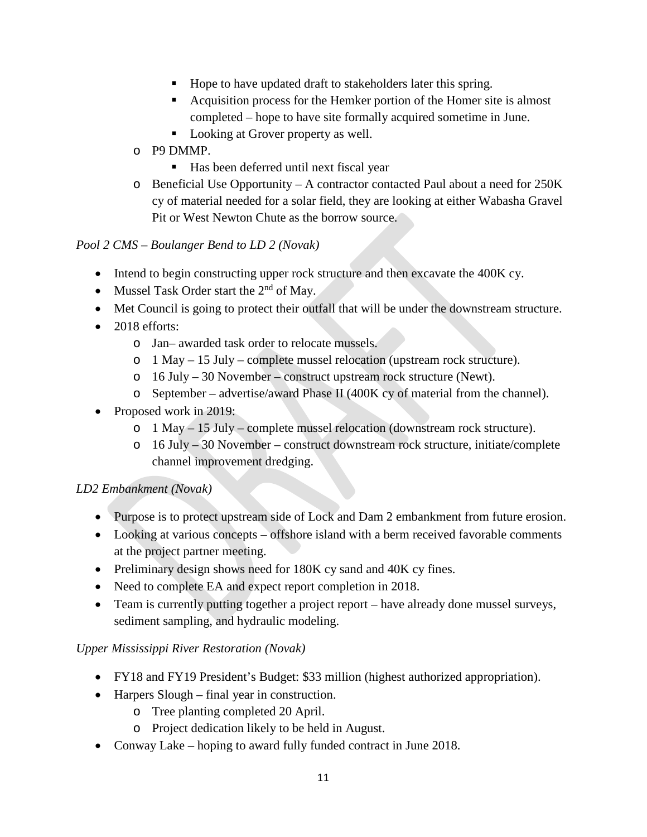- Hope to have updated draft to stakeholders later this spring.
- Acquisition process for the Hemker portion of the Homer site is almost completed – hope to have site formally acquired sometime in June.
- Looking at Grover property as well.
- o P9 DMMP.
	- Has been deferred until next fiscal year
- o Beneficial Use Opportunity A contractor contacted Paul about a need for 250K cy of material needed for a solar field, they are looking at either Wabasha Gravel Pit or West Newton Chute as the borrow source.

### *Pool 2 CMS – Boulanger Bend to LD 2 (Novak)*

- Intend to begin constructing upper rock structure and then excavate the 400K cy.
- Mussel Task Order start the  $2<sup>nd</sup>$  of May.
- Met Council is going to protect their outfall that will be under the downstream structure.
- 2018 efforts:
	- o Jan– awarded task order to relocate mussels.
	- o 1 May 15 July complete mussel relocation (upstream rock structure).
	- o 16 July 30 November construct upstream rock structure (Newt).
	- o September advertise/award Phase II (400K cy of material from the channel).
- Proposed work in 2019:
	- o 1 May 15 July complete mussel relocation (downstream rock structure).
	- o 16 July 30 November construct downstream rock structure, initiate/complete channel improvement dredging.

#### *LD2 Embankment (Novak)*

- Purpose is to protect upstream side of Lock and Dam 2 embankment from future erosion.
- Looking at various concepts offshore island with a berm received favorable comments at the project partner meeting.
- Preliminary design shows need for 180K cy sand and 40K cy fines.
- Need to complete EA and expect report completion in 2018.
- Team is currently putting together a project report have already done mussel surveys, sediment sampling, and hydraulic modeling.

#### *Upper Mississippi River Restoration (Novak)*

- FY18 and FY19 President's Budget: \$33 million (highest authorized appropriation).
- Harpers Slough final year in construction.
	- o Tree planting completed 20 April.
	- o Project dedication likely to be held in August.
- Conway Lake hoping to award fully funded contract in June 2018.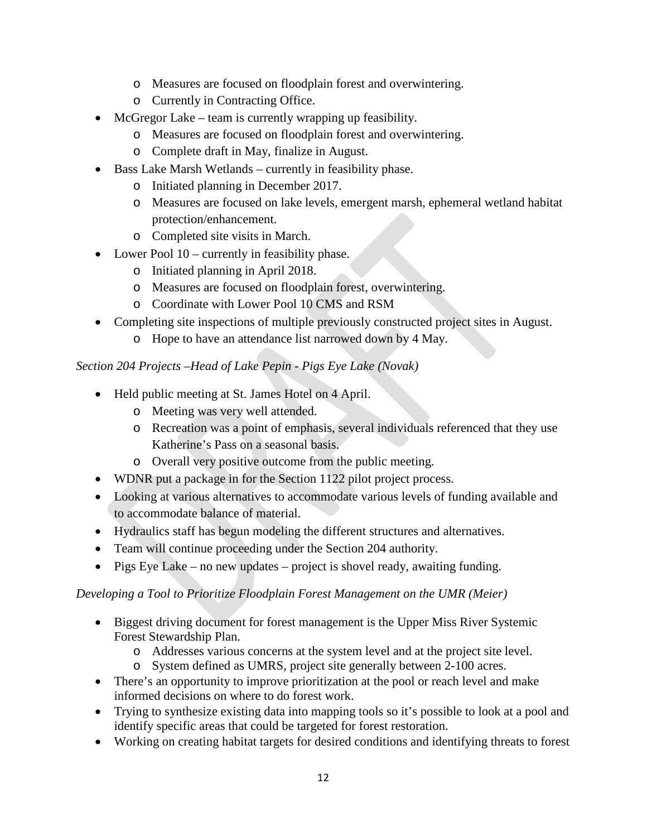- o Measures are focused on floodplain forest and overwintering.
- o Currently in Contracting Office.
- McGregor Lake team is currently wrapping up feasibility.
	- o Measures are focused on floodplain forest and overwintering.
	- o Complete draft in May, finalize in August.
- Bass Lake Marsh Wetlands currently in feasibility phase.
	- o Initiated planning in December 2017.
	- o Measures are focused on lake levels, emergent marsh, ephemeral wetland habitat protection/enhancement.
	- o Completed site visits in March.
- Lower Pool 10 currently in feasibility phase.
	- o Initiated planning in April 2018.
	- o Measures are focused on floodplain forest, overwintering.
	- o Coordinate with Lower Pool 10 CMS and RSM
- Completing site inspections of multiple previously constructed project sites in August.
	- o Hope to have an attendance list narrowed down by 4 May.

#### *Section 204 Projects –Head of Lake Pepin - Pigs Eye Lake (Novak)*

- Held public meeting at St. James Hotel on 4 April.
	- o Meeting was very well attended.
	- o Recreation was a point of emphasis, several individuals referenced that they use Katherine's Pass on a seasonal basis.
	- o Overall very positive outcome from the public meeting.
- WDNR put a package in for the Section 1122 pilot project process.
- Looking at various alternatives to accommodate various levels of funding available and to accommodate balance of material.
- Hydraulics staff has begun modeling the different structures and alternatives.
- Team will continue proceeding under the Section 204 authority.
- Pigs Eye Lake no new updates project is shovel ready, awaiting funding.

#### *Developing a Tool to Prioritize Floodplain Forest Management on the UMR (Meier)*

- Biggest driving document for forest management is the Upper Miss River Systemic Forest Stewardship Plan.
	- o Addresses various concerns at the system level and at the project site level.
	- o System defined as UMRS, project site generally between 2-100 acres.
- There's an opportunity to improve prioritization at the pool or reach level and make informed decisions on where to do forest work.
- Trying to synthesize existing data into mapping tools so it's possible to look at a pool and identify specific areas that could be targeted for forest restoration.
- Working on creating habitat targets for desired conditions and identifying threats to forest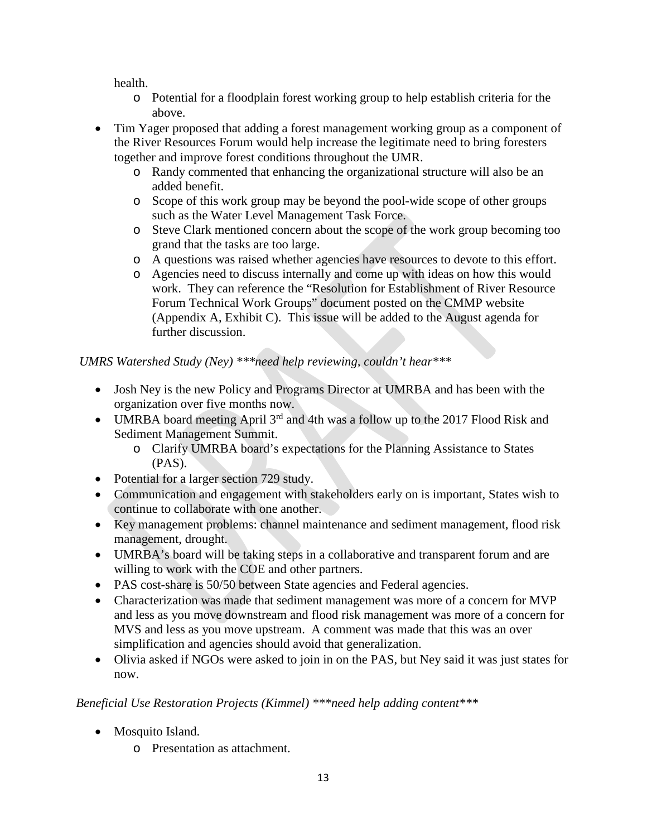health.

- o Potential for a floodplain forest working group to help establish criteria for the above.
- Tim Yager proposed that adding a forest management working group as a component of the River Resources Forum would help increase the legitimate need to bring foresters together and improve forest conditions throughout the UMR.
	- o Randy commented that enhancing the organizational structure will also be an added benefit.
	- o Scope of this work group may be beyond the pool-wide scope of other groups such as the Water Level Management Task Force.
	- o Steve Clark mentioned concern about the scope of the work group becoming too grand that the tasks are too large.
	- o A questions was raised whether agencies have resources to devote to this effort.
	- o Agencies need to discuss internally and come up with ideas on how this would work. They can reference the "Resolution for Establishment of River Resource Forum Technical Work Groups" document posted on the CMMP website (Appendix A, Exhibit C). This issue will be added to the August agenda for further discussion.

*UMRS Watershed Study (Ney) \*\*\*need help reviewing, couldn't hear\*\*\**

- Josh Ney is the new Policy and Programs Director at UMRBA and has been with the organization over five months now.
- UMRBA board meeting April  $3^{rd}$  and 4th was a follow up to the 2017 Flood Risk and Sediment Management Summit.
	- o Clarify UMRBA board's expectations for the Planning Assistance to States (PAS).
- Potential for a larger section 729 study.
- Communication and engagement with stakeholders early on is important, States wish to continue to collaborate with one another.
- Key management problems: channel maintenance and sediment management, flood risk management, drought.
- UMRBA's board will be taking steps in a collaborative and transparent forum and are willing to work with the COE and other partners.
- PAS cost-share is 50/50 between State agencies and Federal agencies.
- Characterization was made that sediment management was more of a concern for MVP and less as you move downstream and flood risk management was more of a concern for MVS and less as you move upstream. A comment was made that this was an over simplification and agencies should avoid that generalization.
- Olivia asked if NGOs were asked to join in on the PAS, but Ney said it was just states for now.

# *Beneficial Use Restoration Projects (Kimmel) \*\*\*need help adding content\*\*\**

- Mosquito Island.
	- o Presentation as attachment.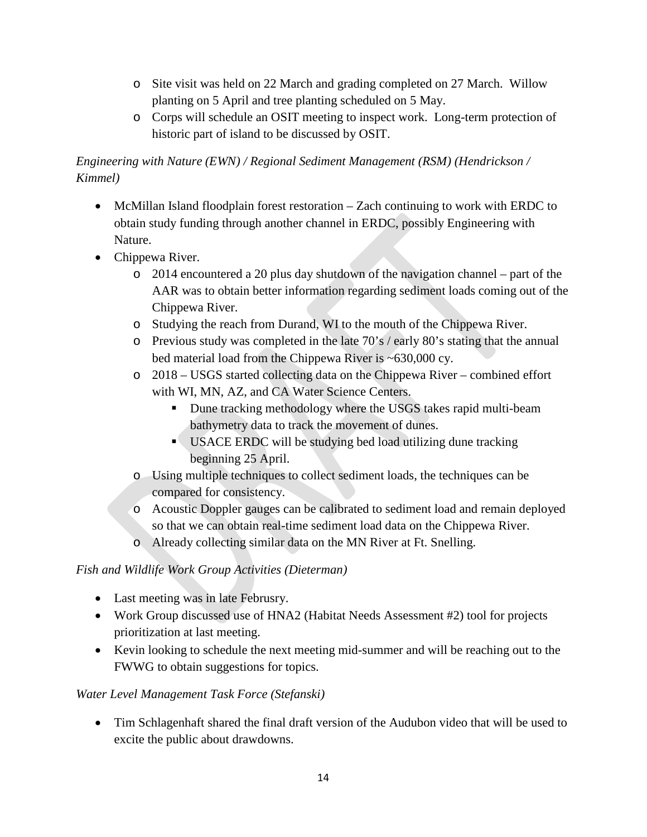- o Site visit was held on 22 March and grading completed on 27 March. Willow planting on 5 April and tree planting scheduled on 5 May.
- o Corps will schedule an OSIT meeting to inspect work. Long-term protection of historic part of island to be discussed by OSIT.

*Engineering with Nature (EWN) / Regional Sediment Management (RSM) (Hendrickson / Kimmel)*

- McMillan Island floodplain forest restoration Zach continuing to work with ERDC to obtain study funding through another channel in ERDC, possibly Engineering with Nature.
- Chippewa River.
	- $\circ$  2014 encountered a 20 plus day shutdown of the navigation channel part of the AAR was to obtain better information regarding sediment loads coming out of the Chippewa River.
	- o Studying the reach from Durand, WI to the mouth of the Chippewa River.
	- o Previous study was completed in the late 70's / early 80's stating that the annual bed material load from the Chippewa River is ~630,000 cy.
	- o 2018 USGS started collecting data on the Chippewa River combined effort with WI, MN, AZ, and CA Water Science Centers.
		- Dune tracking methodology where the USGS takes rapid multi-beam bathymetry data to track the movement of dunes.
		- USACE ERDC will be studying bed load utilizing dune tracking beginning 25 April.
	- o Using multiple techniques to collect sediment loads, the techniques can be compared for consistency.
	- o Acoustic Doppler gauges can be calibrated to sediment load and remain deployed so that we can obtain real-time sediment load data on the Chippewa River.
	- o Already collecting similar data on the MN River at Ft. Snelling.

## *Fish and Wildlife Work Group Activities (Dieterman)*

- Last meeting was in late Februsry.
- Work Group discussed use of HNA2 (Habitat Needs Assessment #2) tool for projects prioritization at last meeting.
- Kevin looking to schedule the next meeting mid-summer and will be reaching out to the FWWG to obtain suggestions for topics.

## *Water Level Management Task Force (Stefanski)*

• Tim Schlagenhaft shared the final draft version of the Audubon video that will be used to excite the public about drawdowns.